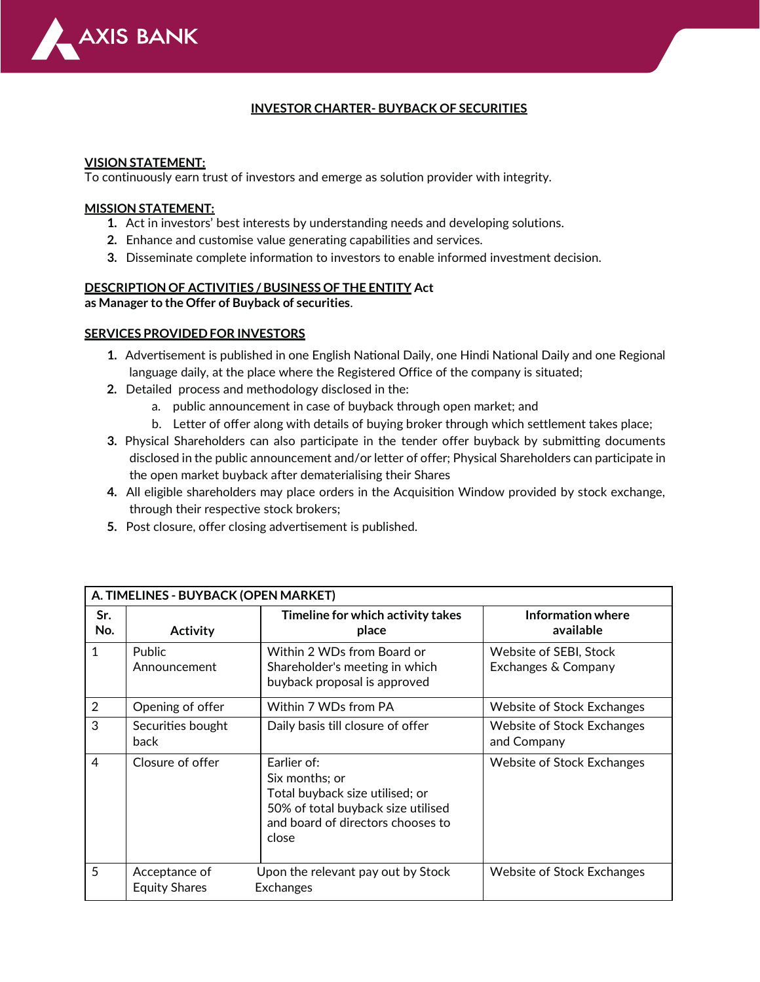

## **INVESTOR CHARTER- BUYBACK OF SECURITIES**

#### **VISION STATEMENT:**

To continuously earn trust of investors and emerge as solution provider with integrity.

#### **MISSION STATEMENT:**

- **1.** Act in investors' best interests by understanding needs and developing solutions.
- **2.** Enhance and customise value generating capabilities and services.
- **3.** Disseminate complete information to investors to enable informed investment decision.

#### **DESCRIPTION OF ACTIVITIES / BUSINESS OF THE ENTITY Act**

**as Manager to the Offer of Buyback of securities**.

#### **SERVICES PROVIDED FOR INVESTORS**

- **1.** Advertisement is published in one English National Daily, one Hindi National Daily and one Regional language daily, at the place where the Registered Office of the company is situated;
- **2.** Detailed process and methodology disclosed in the:
	- a. public announcement in case of buyback through open market; and
	- b. Letter of offer along with details of buying broker through which settlement takes place;
- **3.** Physical Shareholders can also participate in the tender offer buyback by submitting documents disclosed in the public announcement and/or letter of offer; Physical Shareholders can participate in the open market buyback after dematerialising their Shares
- **4.** All eligible shareholders may place orders in the Acquisition Window provided by stock exchange, through their respective stock brokers;
- **5.** Post closure, offer closing advertisement is published.

| A. TIMELINES - BUYBACK (OPEN MARKET) |                                       |                                                                                                                                                      |                                                  |  |  |  |
|--------------------------------------|---------------------------------------|------------------------------------------------------------------------------------------------------------------------------------------------------|--------------------------------------------------|--|--|--|
| Sr.<br>No.                           | <b>Activity</b>                       | Timeline for which activity takes<br>place                                                                                                           | Information where<br>available                   |  |  |  |
| 1                                    | <b>Public</b><br>Announcement         | Within 2 WDs from Board or<br>Shareholder's meeting in which<br>buyback proposal is approved                                                         | Website of SEBI, Stock<br>Exchanges & Company    |  |  |  |
| $\overline{2}$                       | Opening of offer                      | Within 7 WDs from PA                                                                                                                                 | <b>Website of Stock Exchanges</b>                |  |  |  |
| 3                                    | Securities bought<br>back             | Daily basis till closure of offer                                                                                                                    | <b>Website of Stock Exchanges</b><br>and Company |  |  |  |
| 4                                    | Closure of offer                      | Earlier of:<br>Six months; or<br>Total buyback size utilised; or<br>50% of total buyback size utilised<br>and board of directors chooses to<br>close | Website of Stock Exchanges                       |  |  |  |
| 5                                    | Acceptance of<br><b>Equity Shares</b> | Upon the relevant pay out by Stock<br><b>Exchanges</b>                                                                                               | Website of Stock Exchanges                       |  |  |  |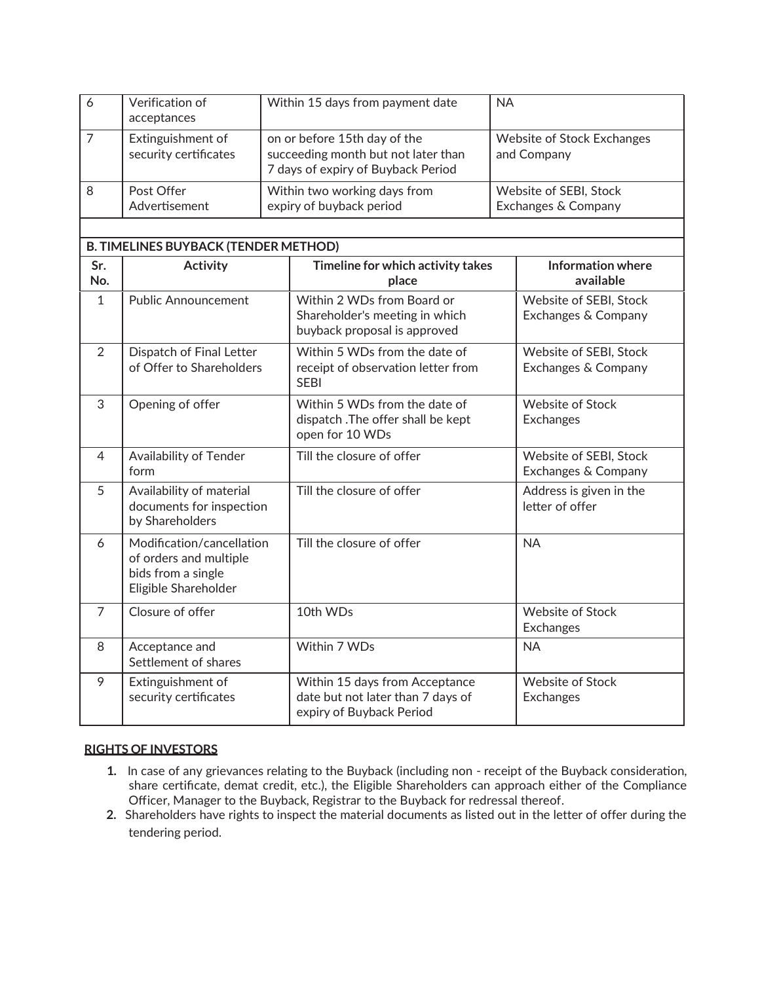| O | Verification of<br>acceptances             | Within 15 days from payment date                                                                          | <b>NA</b>                                     |
|---|--------------------------------------------|-----------------------------------------------------------------------------------------------------------|-----------------------------------------------|
|   | Extinguishment of<br>security certificates | on or before 15th day of the<br>succeeding month but not later than<br>7 days of expiry of Buyback Period | Website of Stock Exchanges<br>and Company     |
| 8 | Post Offer<br>Advertisement                | Within two working days from<br>expiry of buyback period                                                  | Website of SEBI, Stock<br>Exchanges & Company |

| <b>B. TIMELINES BUYBACK (TENDER METHOD)</b> |                                                                                                   |                                                                                                 |                                               |  |  |  |
|---------------------------------------------|---------------------------------------------------------------------------------------------------|-------------------------------------------------------------------------------------------------|-----------------------------------------------|--|--|--|
| Sr.<br>No.                                  | <b>Activity</b>                                                                                   | Timeline for which activity takes<br>place                                                      | <b>Information where</b><br>available         |  |  |  |
| $\mathbf{1}$                                | <b>Public Announcement</b>                                                                        | Within 2 WDs from Board or<br>Shareholder's meeting in which<br>buyback proposal is approved    | Website of SEBI, Stock<br>Exchanges & Company |  |  |  |
| 2                                           | Dispatch of Final Letter<br>of Offer to Shareholders                                              | Within 5 WDs from the date of<br>receipt of observation letter from<br><b>SEBI</b>              | Website of SEBI, Stock<br>Exchanges & Company |  |  |  |
| 3                                           | Opening of offer                                                                                  | Within 5 WDs from the date of<br>dispatch .The offer shall be kept<br>open for 10 WDs           | <b>Website of Stock</b><br><b>Exchanges</b>   |  |  |  |
| $\overline{4}$                              | Availability of Tender<br>form                                                                    | Till the closure of offer                                                                       | Website of SEBI, Stock<br>Exchanges & Company |  |  |  |
| 5                                           | Availability of material<br>documents for inspection<br>by Shareholders                           | Till the closure of offer                                                                       | Address is given in the<br>letter of offer    |  |  |  |
| 6                                           | Modification/cancellation<br>of orders and multiple<br>bids from a single<br>Eligible Shareholder | Till the closure of offer                                                                       | <b>NA</b>                                     |  |  |  |
| $\overline{7}$                              | Closure of offer                                                                                  | 10th WDs                                                                                        | <b>Website of Stock</b><br><b>Exchanges</b>   |  |  |  |
| 8                                           | Acceptance and<br>Settlement of shares                                                            | Within 7 WDs                                                                                    | <b>NA</b>                                     |  |  |  |
| 9                                           | Extinguishment of<br>security certificates                                                        | Within 15 days from Acceptance<br>date but not later than 7 days of<br>expiry of Buyback Period | <b>Website of Stock</b><br><b>Exchanges</b>   |  |  |  |

## **RIGHTS OF INVESTORS**

- **1.** In case of any grievances relating to the Buyback (including non receipt of the Buyback consideration, share certificate, demat credit, etc.), the Eligible Shareholders can approach either of the Compliance Officer, Manager to the Buyback, Registrar to the Buyback for redressal thereof.
- **2.** Shareholders have rights to inspect the material documents as listed out in the letter of offer during the tendering period.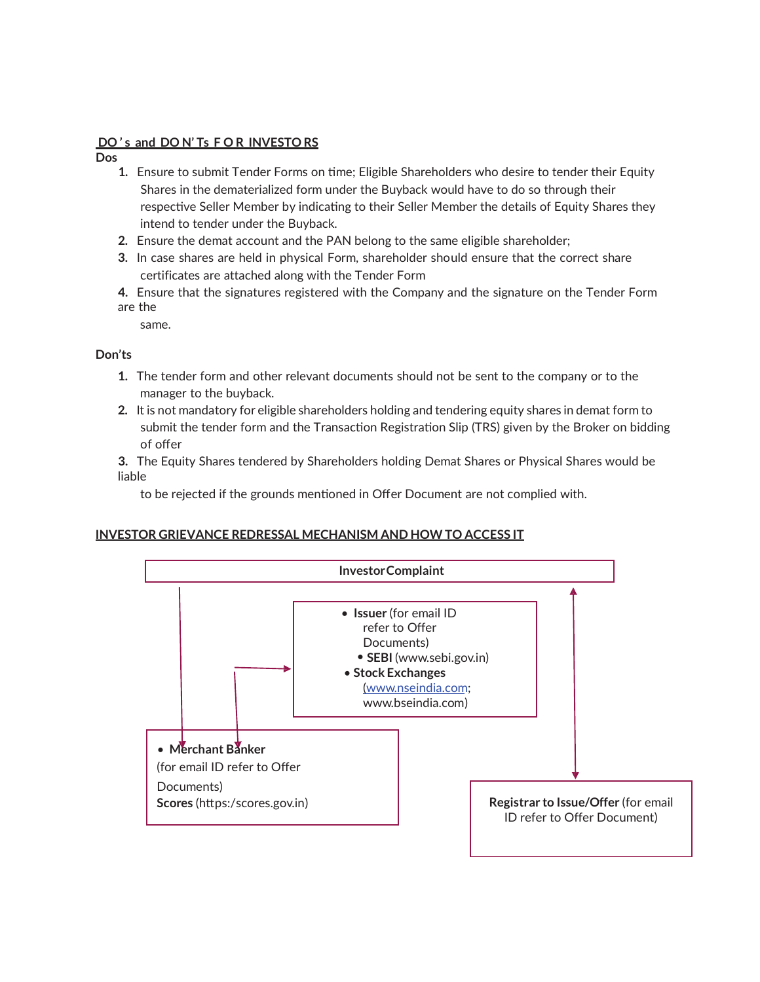## **DO ' s and DO N' Ts F O R INVESTO RS**

**Dos**

- **1.** Ensure to submit Tender Forms on time; Eligible Shareholders who desire to tender their Equity Shares in the dematerialized form under the Buyback would have to do so through their respective Seller Member by indicating to their Seller Member the details of Equity Shares they intend to tender under the Buyback.
- **2.** Ensure the demat account and the PAN belong to the same eligible shareholder;
- **3.** In case shares are held in physical Form, shareholder should ensure that the correct share certificates are attached along with the Tender Form
- **4.** Ensure that the signatures registered with the Company and the signature on the Tender Form are the

same.

**Don'ts**

- **1.** The tender form and other relevant documents should not be sent to the company or to the manager to the buyback.
- **2.** It is not mandatory for eligible shareholders holding and tendering equity shares in demat form to submit the tender form and the Transaction Registration Slip (TRS) given by the Broker on bidding of offer
- **3.** The Equity Shares tendered by Shareholders holding Demat Shares or Physical Shares would be liable

to be rejected if the grounds mentioned in Offer Document are not complied with.

## **INVESTOR GRIEVANCE REDRESSAL MECHANISM AND HOW TO ACCESS IT**

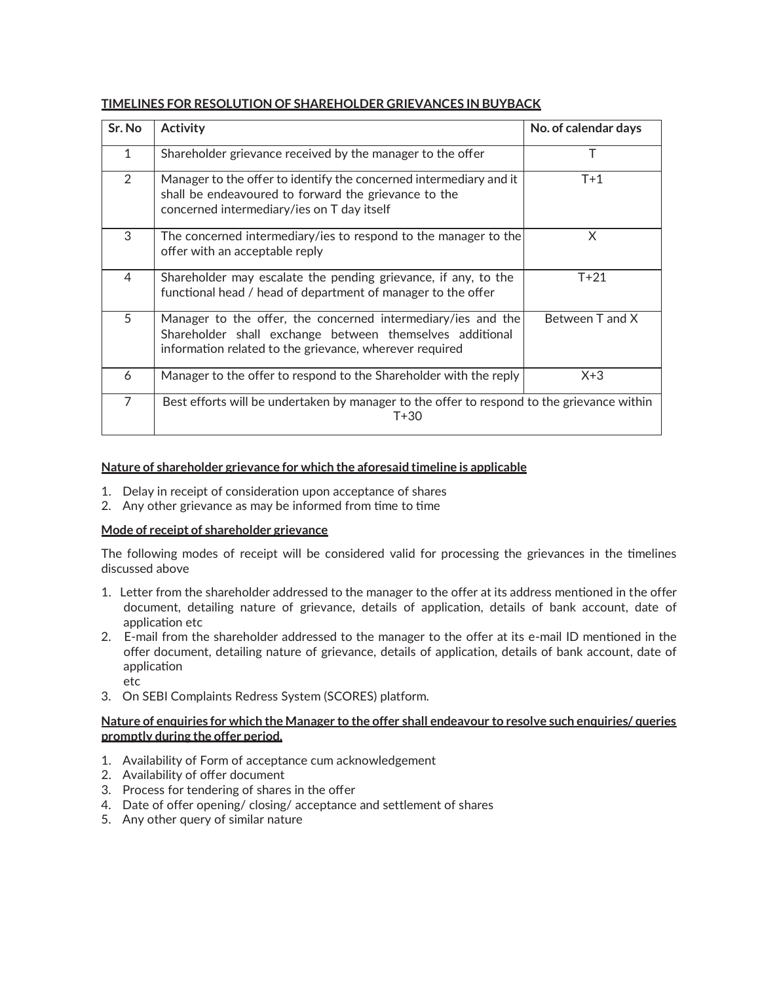| Sr. No         | <b>Activity</b>                                                                                                                                                                     | No. of calendar days |
|----------------|-------------------------------------------------------------------------------------------------------------------------------------------------------------------------------------|----------------------|
| $\mathbf{1}$   | Shareholder grievance received by the manager to the offer                                                                                                                          | Т                    |
| $\overline{2}$ | Manager to the offer to identify the concerned intermediary and it<br>shall be endeavoured to forward the grievance to the<br>concerned intermediary/ies on T day itself            | $T+1$                |
| 3              | The concerned intermediary/ies to respond to the manager to the<br>offer with an acceptable reply                                                                                   | X.                   |
| 4              | Shareholder may escalate the pending grievance, if any, to the<br>functional head / head of department of manager to the offer                                                      | $T+21$               |
| 5              | Manager to the offer, the concerned intermediary/ies and the<br>Shareholder shall exchange between themselves additional<br>information related to the grievance, wherever required | Between T and X      |
| 6              | Manager to the offer to respond to the Shareholder with the reply                                                                                                                   | $X+3$                |
| $\overline{7}$ | Best efforts will be undertaken by manager to the offer to respond to the grievance within<br>$T + 30$                                                                              |                      |

# **TIMELINES FOR RESOLUTION OF SHAREHOLDER GRIEVANCES IN BUYBACK**

## **Nature of shareholder grievance for which the aforesaid timeline is applicable**

- 1. Delay in receipt of consideration upon acceptance of shares
- 2. Any other grievance as may be informed from time to time

## **Mode of receipt of shareholder grievance**

The following modes of receipt will be considered valid for processing the grievances in the timelines discussed above

- 1. Letter from the shareholder addressed to the manager to the offer at its address mentioned in the offer document, detailing nature of grievance, details of application, details of bank account, date of application etc
- 2. E-mail from the shareholder addressed to the manager to the offer at its e-mail ID mentioned in the offer document, detailing nature of grievance, details of application, details of bank account, date of application
	- etc
- 3. On SEBI Complaints Redress System (SCORES) platform.

#### **Nature of enquiries for which the Manager to the offer shall endeavour to resolve such enquiries/ queries promptly during the offer period.**

- 1. Availability of Form of acceptance cum acknowledgement
- 2. Availability of offer document
- 3. Process for tendering of shares in the offer
- 4. Date of offer opening/ closing/ acceptance and settlement of shares
- 5. Any other query of similar nature